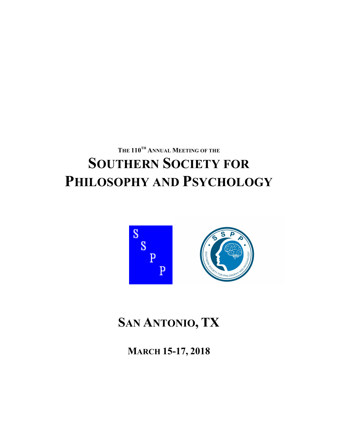# **THE 110TH ANNUAL MEETING OF THE SOUTHERN SOCIETY FOR PHILOSOPHY AND PSYCHOLOGY**



# **SAN ANTONIO, TX**

**MARCH 15-17, 2018**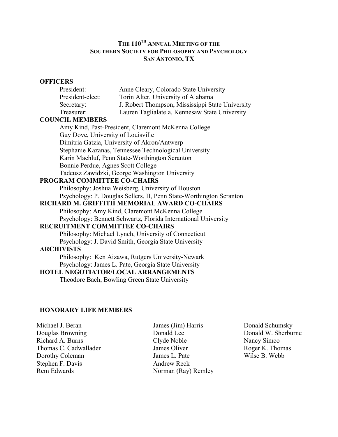### **THE 110TH ANNUAL MEETING OF THE SOUTHERN SOCIETY FOR PHILOSOPHY AND PSYCHOLOGY SAN ANTONIO, TX**

### **OFFICERS**

| President:                         | Anne Cleary, Colorado State University              |
|------------------------------------|-----------------------------------------------------|
| President-elect:                   | Torin Alter, University of Alabama                  |
| Secretary:                         | J. Robert Thompson, Mississippi State University    |
| Treasurer:                         | Lauren Taglialatela, Kennesaw State University      |
| <b>COUNCIL MEMBERS</b>             |                                                     |
|                                    | Amy Kind, Past-President, Claremont McKenna College |
| Guy Dove, University of Louisville |                                                     |
|                                    | Dimitria Gatzia, University of Akron/Antwerp        |

Stephanie Kazanas, Tennessee Technological University Karin Machluf, Penn State-Worthington Scranton Bonnie Perdue, Agnes Scott College Tadeusz Zawidzki, George Washington University

### **PROGRAM COMMITTEE CO-CHAIRS**

Philosophy: Joshua Weisberg, University of Houston Psychology: P. Douglas Sellers, II, Penn State-Worthington Scranton

### **RICHARD M. GRIFFITH MEMORIAL AWARD CO-CHAIRS**

Philosophy: Amy Kind, Claremont McKenna College Psychology: Bennett Schwartz, Florida International University

### **RECRUITMENT COMMITTEE CO-CHAIRS**

Philosophy: Michael Lynch, University of Connecticut Psychology: J. David Smith, Georgia State University

### **ARCHIVISTS**

Philosophy: Ken Aizawa, Rutgers University-Newark Psychology: James L. Pate, Georgia State University

### **HOTEL NEGOTIATOR/LOCAL ARRANGEMENTS**

Theodore Bach, Bowling Green State University

### **HONORARY LIFE MEMBERS**

Michael J. Beran Douglas Browning Richard A. Burns Thomas C. Cadwallader Dorothy Coleman Stephen F. Davis Rem Edwards

James (Jim) Harris Donald Lee Clyde Noble James Oliver James L. Pate Andrew Reck Norman (Ray) Remley

Donald Schumsky Donald W. Sherburne Nancy Simco Roger K. Thomas Wilse B. Webb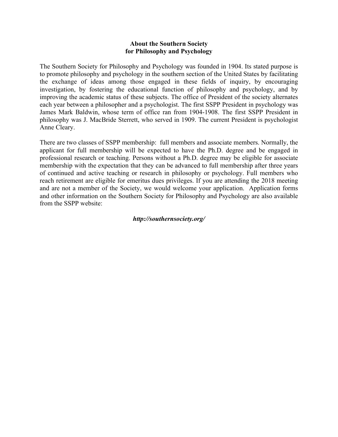### **About the Southern Society for Philosophy and Psychology**

The Southern Society for Philosophy and Psychology was founded in 1904. Its stated purpose is to promote philosophy and psychology in the southern section of the United States by facilitating the exchange of ideas among those engaged in these fields of inquiry, by encouraging investigation, by fostering the educational function of philosophy and psychology, and by improving the academic status of these subjects. The office of President of the society alternates each year between a philosopher and a psychologist. The first SSPP President in psychology was James Mark Baldwin, whose term of office ran from 1904-1908. The first SSPP President in philosophy was J. MacBride Sterrett, who served in 1909. The current President is psychologist Anne Cleary.

There are two classes of SSPP membership: full members and associate members. Normally, the applicant for full membership will be expected to have the Ph.D. degree and be engaged in professional research or teaching. Persons without a Ph.D. degree may be eligible for associate membership with the expectation that they can be advanced to full membership after three years of continued and active teaching or research in philosophy or psychology. Full members who reach retirement are eligible for emeritus dues privileges. If you are attending the 2018 meeting and are not a member of the Society, we would welcome your application. Application forms and other information on the Southern Society for Philosophy and Psychology are also available from the SSPP website:

### *http://southernsociety.org/*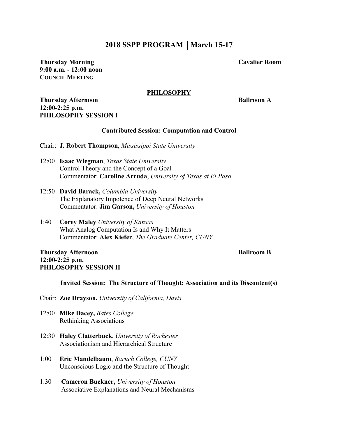### **2018 SSPP PROGRAM** ⏐**March 15-17**

**Thursday Morning Cavalier Room 9:00 a.m. - 12:00 noon COUNCIL MEETING**

### **PHILOSOPHY**

### **Thursday Afternoon Ballroom A 12:00-2:25 p.m. PHILOSOPHY SESSION I**

### **Contributed Session: Computation and Control**

Chair: **J. Robert Thompson**, *Mississippi State University*

- 12:00 **Isaac Wiegman**, *Texas State University* Control Theory and the Concept of a Goal Commentator: **Caroline Arruda**, *University of Texas at El Paso*
- 12:50 **David Barack,** *Columbia University* The Explanatory Impotence of Deep Neural Networks Commentator: **Jim Garson,** *University of Houston*
- 1:40 **Corey Maley** *University of Kansas* What Analog Computation Is and Why It Matters Commentator: **Alex Kiefer**, *The Graduate Center, CUNY*

### **Thursday Afternoon Ballroom B 12:00-2:25 p.m. PHILOSOPHY SESSION II**

### **Invited Session: The Structure of Thought: Association and its Discontent(s)**

- Chair: **Zoe Drayson,** *University of California, Davis*
- 12:00 **Mike Dacey,** *Bates College* Rethinking Associations
- 12:30 **Haley Clatterbuck**, *University of Rochester* Associationism and Hierarchical Structure
- 1:00 **Eric Mandelbaum**, *Baruch College, CUNY* Unconscious Logic and the Structure of Thought
- 1:30 **Cameron Buckner,** *University of Houston* Associative Explanations and Neural Mechanisms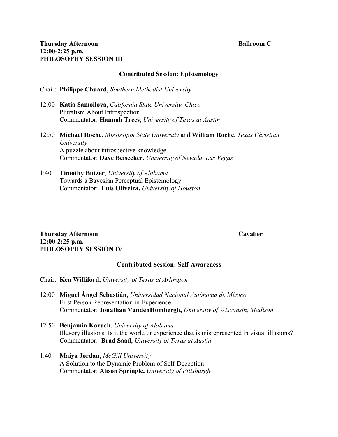### **Contributed Session: Epistemology**

### Chair: **Philippe Chuard,** *Southern Methodist University*

- 12:00 **Katia Samoilova**, *California State University, Chico* Pluralism About Introspection Commentator: **Hannah Trees,** *University of Texas at Austin*
- 12:50 **Michael Roche**, *Mississippi State University* and **William Roche**, *Texas Christian University* A puzzle about introspective knowledge Commentator: **Dave Beisecker,** *University of Nevada, Las Vegas*
- 1:40 **Timothy Butzer**, *University of Alabama* Towards a Bayesian Perceptual Epistemology Commentator: **Luis Oliveira,** *University of Houston*

**Thursday Afternoon Cavalier 12:00-2:25 p.m. PHILOSOPHY SESSION IV**

### **Contributed Session: Self-Awareness**

- Chair: **Ken Williford,** *University of Texas at Arlington*
- 12:00 **Miguel Ángel Sebastián,** *Universidad Nacional Autónoma de México* First Person Representation in Experience Commentator: **Jonathan VandenHombergh,** *University of Wisconsin, Madison*
- 12:50 **Benjamin Kozuch**, *University of Alabama*  Illusory illusions: Is it the world or experience that is misrepresented in visual illusions? Commentator: **Brad Saad**, *University of Texas at Austin*
- 1:40 **Maiya Jordan,** *McGill University* A Solution to the Dynamic Problem of Self-Deception Commentator: **Alison Springle,** *University of Pittsburgh*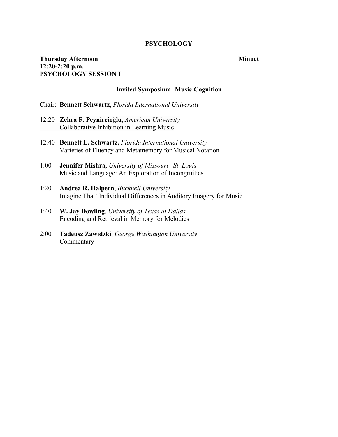### **PSYCHOLOGY**

### **Thursday Afternoon Minuet 12:20-2:20 p.m. PSYCHOLOGY SESSION I**

### **Invited Symposium: Music Cognition**

- Chair: **Bennett Schwartz**, *Florida International University*
- 12:20 **Zehra F. Peynircioğlu**, *American University* Collaborative Inhibition in Learning Music
- 12:40 **Bennett L. Schwartz,** *Florida International University* Varieties of Fluency and Metamemory for Musical Notation
- 1:00 **Jennifer Mishra**, *University of Missouri –St. Louis* Music and Language: An Exploration of Incongruities
- 1:20 **Andrea R. Halpern**, *Bucknell University* Imagine That! Individual Differences in Auditory Imagery for Music
- 1:40 **W. Jay Dowling**, *University of Texas at Dallas* Encoding and Retrieval in Memory for Melodies
- 2:00 **Tadeusz Zawidzki**, *George Washington University* Commentary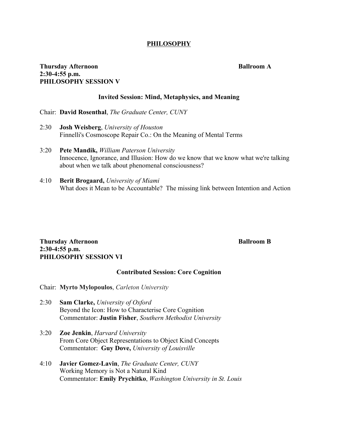### **PHILOSOPHY**

### **Thursday Afternoon Ballroom A 2:30-4:55 p.m. PHILOSOPHY SESSION V**

### **Invited Session: Mind, Metaphysics, and Meaning**

Chair: **David Rosenthal**, *The Graduate Center, CUNY*

- 2:30 **Josh Weisberg**, *University of Houston* Finnelli's Cosmoscope Repair Co.: On the Meaning of Mental Terms
- 3:20 **Pete Mandik,** *William Paterson University* Innocence, Ignorance, and Illusion: How do we know that we know what we're talking about when we talk about phenomenal consciousness?
- 4:10 **Berit Brogaard,** *University of Miami* What does it Mean to be Accountable? The missing link between Intention and Action

**Thursday Afternoon Ballroom B 2:30-4:55 p.m. PHILOSOPHY SESSION VI**

### **Contributed Session: Core Cognition**

Chair: **Myrto Mylopoulos**, *Carleton University*

- 2:30 **Sam Clarke,** *University of Oxford* Beyond the Icon: How to Characterise Core Cognition Commentator: **Justin Fisher**, *Southern Methodist University*
- 3:20 **Zoe Jenkin**, *Harvard University* From Core Object Representations to Object Kind Concepts Commentator: **Guy Dove,** *University of Louisville*
- 4:10 **Javier Gomez-Lavin**, *The Graduate Center, CUNY* Working Memory is Not a Natural Kind Commentator: **Emily Prychitko**, *Washington University in St. Louis*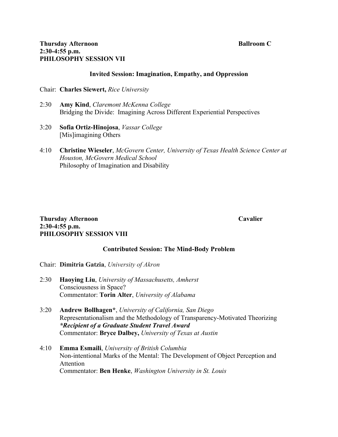### **Invited Session: Imagination, Empathy, and Oppression**

- Chair: **Charles Siewert,** *Rice University*
- 2:30 **Amy Kind**, *Claremont McKenna College* Bridging the Divide: Imagining Across Different Experiential Perspectives
- 3:20 **Sofia Ortiz-Hinojosa**, *Vassar College* [Mis]imagining Others
- 4:10 **Christine Wieseler**, *McGovern Center, University of Texas Health Science Center at Houston, McGovern Medical School* Philosophy of Imagination and Disability

### **Thursday Afternoon** Cavalier **2:30-4:55 p.m. PHILOSOPHY SESSION VIII**

## **Contributed Session: The Mind-Body Problem**

- Chair: **Dimitria Gatzia**, *University of Akron*
- 2:30 **Haoying Liu**, *University of Massachusetts, Amherst* Consciousness in Space? Commentator: **Torin Alter**, *University of Alabama*
- 3:20 **Andrew Bollhagen\***, *University of California, San Diego* Representationalism and the Methodology of Transparency-Motivated Theorizing *\*Recipient of a Graduate Student Travel Award* Commentator: **Bryce Dalbey,** *University of Texas at Austin*
- 4:10 **Emma Esmaili**, *University of British Columbia* Non-intentional Marks of the Mental: The Development of Object Perception and Attention Commentator: **Ben Henke**, *Washington University in St. Louis*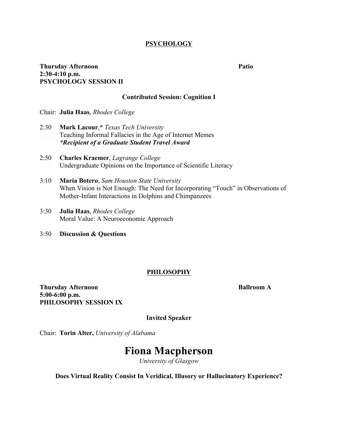### **PSYCHOLOGY**

### **Thursday Afternoon Patio 2:30-4:10 p.m. PSYCHOLOGY SESSION II**

### **Contributed Session: Cognition I**

- Chair: **Julia Haas**, *Rhodes College*
- 2:30 **Mark Lacour**,**\*** *Texas Tech University* Teaching Informal Fallacies in the Age of Internet Memes *\*Recipient of a Graduate Student Travel Award*
- 2:50 **Charles Kraemer**, *Lagrange College* Undergraduate Opinions on the Importance of Scientific Literacy
- 3:10 **Maria Botero**, *Sam Houston State University* When Vision is Not Enough: The Need for Incorporating "Touch" in Observations of Mother-Infant Interactions in Dolphins and Chimpanzees
- 3:30 **Julia Haas**, *Rhodes College* Moral Value: A Neuroeconomic Approach
- 3:50 **Discussion & Questions**

### **PHILOSOPHY**

**Thursday Afternoon Ballroom A 5:00-6:00 p.m. PHILOSOPHY SESSION IX**

**Invited Speaker**

Chair: **Torin Alter,** *University of Alabama*

## **Fiona Macpherson**

*University of Glasgow* 

**Does Virtual Reality Consist In Veridical, Illusory or Hallucinatory Experience?**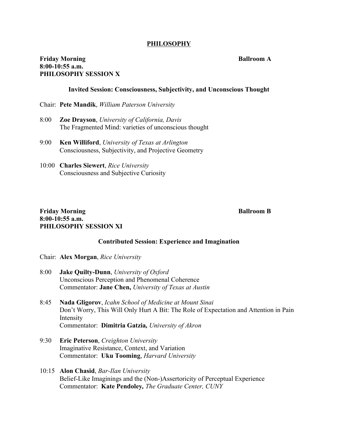### **PHILOSOPHY**

### **Friday Morning Ballroom A 8:00-10:55 a.m. PHILOSOPHY SESSION X**

### **Invited Session: Consciousness, Subjectivity, and Unconscious Thought**

Chair: **Pete Mandik**, *William Paterson University*

- 8:00 **Zoe Drayson**, *University of California, Davis* The Fragmented Mind: varieties of unconscious thought
- 9:00 **Ken Williford**, *University of Texas at Arlington* Consciousness, Subjectivity, and Projective Geometry
- 10:00 **Charles Siewert**, *Rice University* Consciousness and Subjective Curiosity

### **Friday Morning Ballroom B 8:00-10:55 a.m. PHILOSOPHY SESSION XI**

### **Contributed Session: Experience and Imagination**

- Chair: **Alex Morgan**, *Rice University*
- 8:00 **Jake Quilty-Dunn**, *University of Oxford* Unconscious Perception and Phenomenal Coherence Commentator: **Jane Chen,** *University of Texas at Austin*
- 8:45 **Nada Gligorov**, *Icahn School of Medicine at Mount Sinai* Don't Worry, This Will Only Hurt A Bit: The Role of Expectation and Attention in Pain Intensity Commentator: **Dimitria Gatzia***, University of Akron*
- 9:30 **Eric Peterson**, *Creighton University* Imaginative Resistance, Context, and Variation Commentator: **Uku Tooming**, *Harvard University*
- 10:15 **Alon Chasid**, *Bar-Ilan University* Belief-Like Imaginings and the (Non-)Assertoricity of Perceptual Experience Commentator: **Kate Pendoley***, The Graduate Center, CUNY*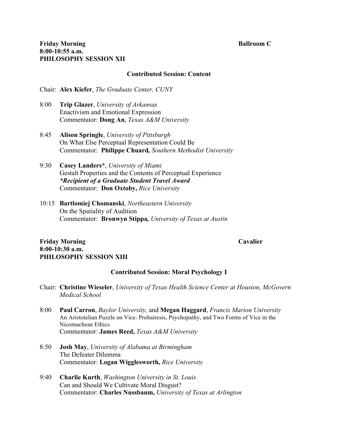### **Friday Morning Ballroom C 8:00-10:55 a.m. PHILOSOPHY SESSION XII**

### **Contributed Session: Content**

Chair: **Alex Kiefer**, *The Graduate Center, CUNY*

- 8:00 **Trip Glazer**, *University of Arkansas* Enactivism and Emotional Expression Commentator: **Dong An**, *Texas A&M University*
- 8:45 **Alison Springle**, *University of Pittsburgh* On What Else Perceptual Representation Could Be Commentator: **Philippe Chuard***, Southern Methodist University*
- 9:30 **Casey Landers\***, *University of Miami* Gestalt Properties and the Contents of Perceptual Experience *\*Recipient of a Graduate Student Travel Award* Commentator: **Don Oxtoby,** *Rice University*
- 10:15 **Bartlomiej Chomanski**, *Northeastern University* On the Spatiality of Audition Commentator: **Bronwyn Stippa***, University of Texas at Austin*

### **Friday Morning Cavalier 8:00-10:30 a.m. PHILOSOPHY SESSION XIII**

### **Contributed Session: Moral Psychology I**

- Chair: **Christine Wieseler**, *University of Texas Health Science Center at Houston, McGovern Medical School*
- 8:00 **Paul Carron**, *Baylor University,* and **Megan Haggard**, *Francis Marion University* An Aristotelian Puzzle on Vice: Prohairesis, Psychopathy, and Two Forms of Vice in the Nicomachean Ethics Commentator: **James Reed,** *Texas A&M University*
- 8:50 **Josh May**, *University of Alabama at Birmingham* The Defeater Dilemma Commentator: **Logan Wigglesworth,** *Rice University*
- 9:40 **Charlie Kurth**, *Washington University in St. Louis* Can and Should We Cultivate Moral Disgust? Commentator: **Charles Nussbaum,** *University of Texas at Arlington*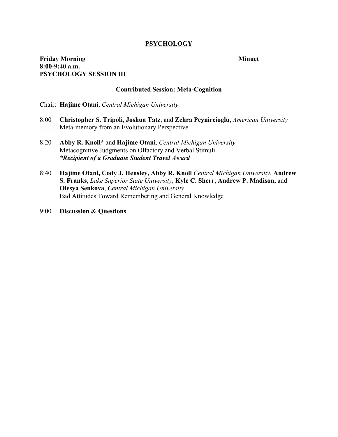### **PSYCHOLOGY**

### **Friday Morning Community Community Community Community Community Community Community Community Community Community Community Community Community Community Community Community Community Community Community Community Commun 8:00-9:40 a.m. PSYCHOLOGY SESSION III**

### **Contributed Session: Meta-Cognition**

- Chair: **Hajime Otani**, *Central Michigan University*
- 8:00 **Christopher S. Tripoli**, **Joshua Tatz**, and **Zehra Peynircioglu**, *American University* Meta-memory from an Evolutionary Perspective
- 8:20 **Abby R. Knoll\*** and **Hajime Otani**, *Central Michigan University* Metacognitive Judgments on Olfactory and Verbal Stimuli *\*Recipient of a Graduate Student Travel Award*
- 8:40 **Hajime Otani, Cody J. Hensley, Abby R. Knoll** *Central Michigan University*, **Andrew S. Franks**, *Lake Superior State University*, **Kyle C. Sherr**, **Andrew P. Madison,** and **Olesya Senkova**, *Central Michigan University* Bad Attitudes Toward Remembering and General Knowledge
- 9:00 **Discussion & Questions**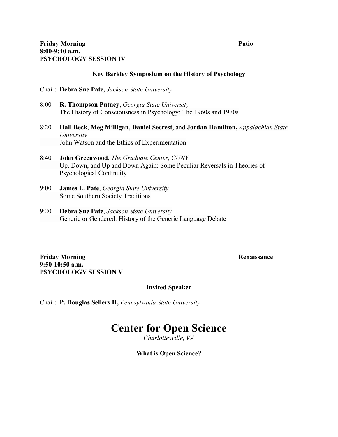### **Key Barkley Symposium on the History of Psychology**

- Chair: **Debra Sue Pate,** *Jackson State University*
- 8:00 **R. Thompson Putney**, *Georgia State University* The History of Consciousness in Psychology: The 1960s and 1970s
- 8:20 **Hall Beck**, **Meg Milligan**, **Daniel Secrest**, and **Jordan Hamilton,** *Appalachian State University* John Watson and the Ethics of Experimentation
- 8:40 **John Greenwood**, *The Graduate Center, CUNY* Up, Down, and Up and Down Again: Some Peculiar Reversals in Theories of Psychological Continuity
- 9:00 **James L. Pate**, *Georgia State University* Some Southern Society Traditions
- 9:20 **Debra Sue Pate**, *Jackson State University* Generic or Gendered: History of the Generic Language Debate

**Friday Morning Renaissance 9:50-10:50 a.m. PSYCHOLOGY SESSION V**

### **Invited Speaker**

Chair: **P. Douglas Sellers II,** *Pennsylvania State University*

## **Center for Open Science**

*Charlottesville, VA*

### **What is Open Science?**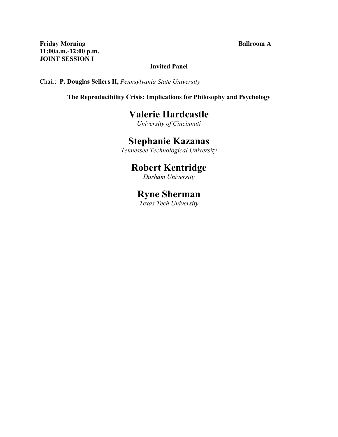Friday Morning **Ballroom A 11:00a.m.-12:00 p.m. JOINT SESSION I**

### **Invited Panel**

Chair: **P. Douglas Sellers II,** *Pennsylvania State University*

**The Reproducibility Crisis: Implications for Philosophy and Psychology**

## **Valerie Hardcastle**

*University of Cincinnati*

## **Stephanie Kazanas**

*Tennessee Technological University* 

## **Robert Kentridge**

*Durham University*

## **Ryne Sherman**

*Texas Tech University*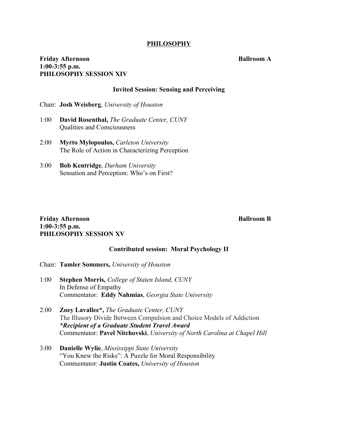### **PHILOSOPHY**

### **Friday Afternoon Ballroom A 1:00-3:55 p.m. PHILOSOPHY SESSION XIV**

### **Invited Session: Sensing and Perceiving**

- Chair: **Josh Weisberg**, *University of Houston*
- 1:00 **David Rosenthal,** *The Graduate Center, CUNY* Qualities and Consciousness
- 2:00 **Myrto Mylopoulos,** *Carleton University* The Role of Action in Characterizing Perception
- 3:00 **Bob Kentridge**, *Durham University* Sensation and Perception: Who's on First?

### **Friday Afternoon Ballroom B 1:00-3:55 p.m. PHILOSOPHY SESSION XV**

### **Contributed session: Moral Psychology II**

- Chair: **Tamler Sommers,** *University of Houston*
- 1:00 **Stephen Morris,** *College of Staten Island, CUNY* In Defense of Empathy Commentator: **Eddy Nahmias**, *Georgia State University*
- 2:00 **Zoey Lavallee\*,** *The Graduate Center, CUNY* The Illusory Divide Between Compulsion and Choice Models of Addiction *\*Recipient of a Graduate Student Travel Award* Commentator: **Pavel Nitchovski**, *University of North Carolina at Chapel Hill*
- 3:00 **Danielle Wylie**, *Mississippi State University* "You Knew the Risks": A Puzzle for Moral Responsibility Commentator: **Justin Coates,** *University of Houston*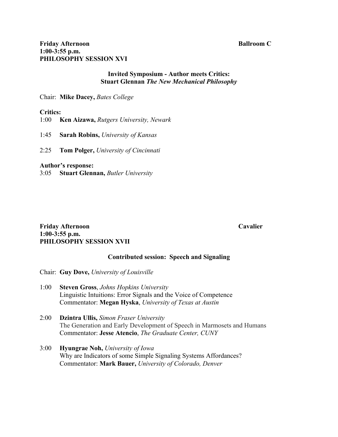### **Friday Afternoon Ballroom C 1:00-3:55 p.m. PHILOSOPHY SESSION XVI**

### **Invited Symposium - Author meets Critics: Stuart Glennan** *The New Mechanical Philosophy*

Chair: **Mike Dacey,** *Bates College*

### **Critics:**

1:00 **Ken Aizawa,** *Rutgers University, Newark*

- 1:45 **Sarah Robins,** *University of Kansas*
- 2:25 **Tom Polger,** *University of Cincinnati*

### **Author's response:**

3:05 **Stuart Glennan,** *Butler University*

### **Friday Afternoon Cavalier 1:00-3:55 p.m. PHILOSOPHY SESSION XVII**

### **Contributed session: Speech and Signaling**

Chair: **Guy Dove,** *University of Louisville*

- 1:00 **Steven Gross**, *Johns Hopkins University* Linguistic Intuitions: Error Signals and the Voice of Competence Commentator: **Megan Hyska**, *University of Texas at Austin*
- 2:00 **Dzintra Ullis,** *Simon Fraser University* The Generation and Early Development of Speech in Marmosets and Humans Commentator: **Jesse Atencio**, *The Graduate Center, CUNY*
- 3:00 **Hyungrae Noh,** *University of Iowa* Why are Indicators of some Simple Signaling Systems Affordances? Commentator: **Mark Bauer,** *University of Colorado, Denver*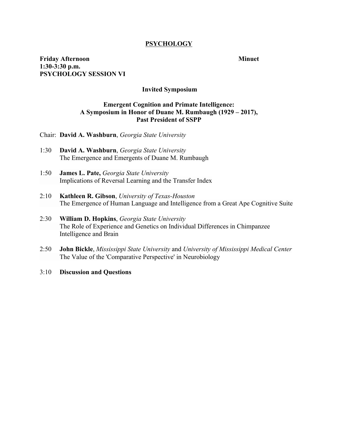### **PSYCHOLOGY**

### **Friday Afternoon** Minuet **1:30-3:30 p.m. PSYCHOLOGY SESSION VI**

### **Invited Symposium**

### **Emergent Cognition and Primate Intelligence: A Symposium in Honor of Duane M. Rumbaugh (1929 – 2017), Past President of SSPP**

Chair: **David A. Washburn**, *Georgia State University*

- 1:30 **David A. Washburn**, *Georgia State University* The Emergence and Emergents of Duane M. Rumbaugh
- 1:50 **James L. Pate,** *Georgia State University* Implications of Reversal Learning and the Transfer Index
- 2:10 **Kathleen R. Gibson**, *University of Texas-Houston* The Emergence of Human Language and Intelligence from a Great Ape Cognitive Suite

### 2:30 **William D. Hopkins**, *Georgia State University* The Role of Experience and Genetics on Individual Differences in Chimpanzee Intelligence and Brain

- 2:50 **John Bickle**, *Mississippi State University* and *University of Mississippi Medical Center* The Value of the 'Comparative Perspective' in Neurobiology
- 3:10 **Discussion and Questions**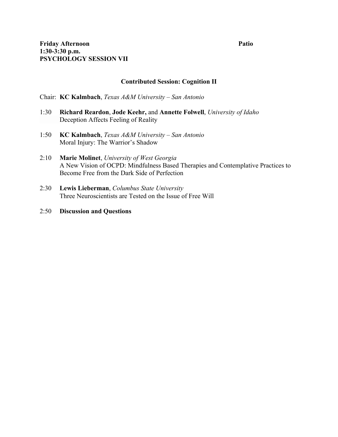## **Contributed Session: Cognition II**

Chair: **KC Kalmbach**, *Texas A&M University – San Antonio*

- 1:30 **Richard Reardon**, **Jode Keehr,** and **Annette Folwell**, *University of Idaho* Deception Affects Feeling of Reality
- 1:50 **KC Kalmbach**, *Texas A&M University – San Antonio* Moral Injury: The Warrior's Shadow
- 2:10 **Marie Molinet**, *University of West Georgia* A New Vision of OCPD: Mindfulness Based Therapies and Contemplative Practices to Become Free from the Dark Side of Perfection
- 2:30 **Lewis Lieberman**, *Columbus State University* Three Neuroscientists are Tested on the Issue of Free Will
- 2:50 **Discussion and Questions**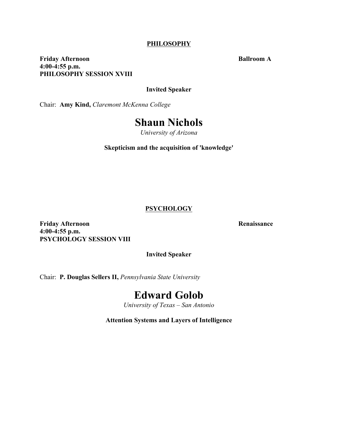### **PHILOSOPHY**

**Friday Afternoon Ballroom A 4:00-4:55 p.m. PHILOSOPHY SESSION XVIII**

### **Invited Speaker**

Chair: **Amy Kind,** *Claremont McKenna College*

## **Shaun Nichols**

*University of Arizona*

**Skepticism and the acquisition of 'knowledge'**

### **PSYCHOLOGY**

**Friday Afternoon Renaissance 4:00-4:55 p.m. PSYCHOLOGY SESSION VIII**

**Invited Speaker**

Chair: **P. Douglas Sellers II,** *Pennsylvania State University*

## **Edward Golob**

*University of Texas – San Antonio*

**Attention Systems and Layers of Intelligence**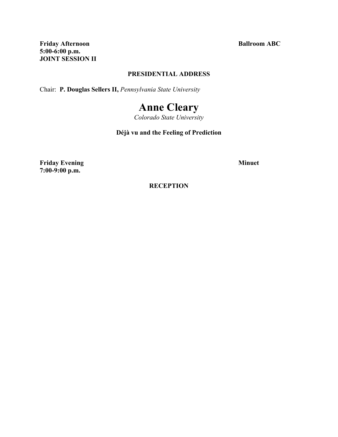**Friday Afternoon Ballroom ABC 5:00-6:00 p.m. JOINT SESSION II**

### **PRESIDENTIAL ADDRESS**

Chair: **P. Douglas Sellers II,** *Pennsylvania State University*

## **Anne Cleary**

*Colorado State University*

### **Déjà vu and the Feeling of Prediction**

**Friday Evening Minuet 7:00-9:00 p.m.**

**RECEPTION**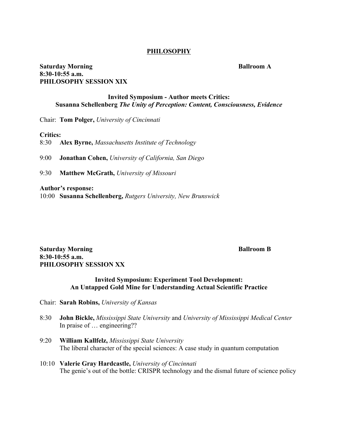### **PHILOSOPHY**

### **Saturday Morning Ballroom A 8:30-10:55 a.m. PHILOSOPHY SESSION XIX**

### **Invited Symposium - Author meets Critics: Susanna Schellenberg** *The Unity of Perception: Content, Consciousness, Evidence*

Chair: **Tom Polger,** *University of Cincinnati*

**Critics:**

8:30 **Alex Byrne,** *Massachusetts Institute of Technology*

9:00 **Jonathan Cohen,** *University of California, San Diego*

9:30 **Matthew McGrath,** *University of Missouri*

**Author's response:** 

10:00 **Susanna Schellenberg,** *Rutgers University, New Brunswick* 

### **Saturday Morning Ballroom B 8:30-10:55 a.m. PHILOSOPHY SESSION XX**

### **Invited Symposium: Experiment Tool Development: An Untapped Gold Mine for Understanding Actual Scientific Practice**

- Chair: **Sarah Robins,** *University of Kansas*
- 8:30 **John Bickle,** *Mississippi State University* and *University of Mississippi Medical Center* In praise of … engineering??
- 9:20 **William Kallfelz,** *Mississippi State University* The liberal character of the special sciences: A case study in quantum computation
- 10:10 **Valerie Gray Hardcastle,** *University of Cincinnati* The genie's out of the bottle: CRISPR technology and the dismal future of science policy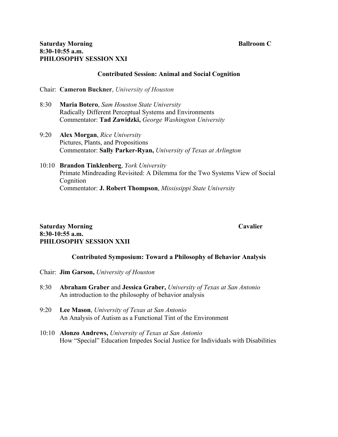### **Contributed Session: Animal and Social Cognition**

Chair: **Cameron Buckner**, *University of Houston*

- 8:30 **Maria Botero**, *Sam Houston State University* Radically Different Perceptual Systems and Environments Commentator: **Tad Zawidzki,** *George Washington University*
- 9:20 **Alex Morgan**, *Rice University* Pictures, Plants, and Propositions Commentator: **Sally Parker-Ryan,** *University of Texas at Arlington*
- 10:10 **Brandon Tinklenberg**, *York University*  Primate Mindreading Revisited: A Dilemma for the Two Systems View of Social Cognition Commentator: **J. Robert Thompson**, *Mississippi State University*

### **Saturday Morning Cavalier 8:30-10:55 a.m. PHILOSOPHY SESSION XXII**

### **Contributed Symposium: Toward a Philosophy of Behavior Analysis**

- Chair: **Jim Garson,** *University of Houston*
- 8:30 **Abraham Graber** and **Jessica Graber,** *University of Texas at San Antonio* An introduction to the philosophy of behavior analysis
- 9:20 **Lee Mason**, *University of Texas at San Antonio*  An Analysis of Autism as a Functional Tint of the Environment
- 10:10 **Alonzo Andrews,** *University of Texas at San Antonio* How "Special" Education Impedes Social Justice for Individuals with Disabilities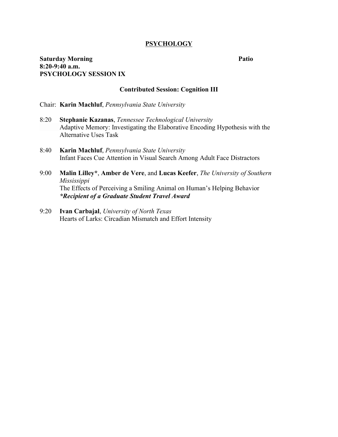### **PSYCHOLOGY**

### **Saturday Morning Patio 8:20-9:40 a.m. PSYCHOLOGY SESSION IX**

### **Contributed Session: Cognition III**

- Chair: **Karin Machluf**, *Pennsylvania State University*
- 8:20 **Stephanie Kazanas**, *Tennessee Technological University* Adaptive Memory: Investigating the Elaborative Encoding Hypothesis with the Alternative Uses Task
- 8:40 **Karin Machluf**, *Pennsylvania State University* Infant Faces Cue Attention in Visual Search Among Adult Face Distractors
- 9:00 **Malin Lilley\***, **Amber de Vere**, and **Lucas Keefer**, *The University of Southern Mississippi* The Effects of Perceiving a Smiling Animal on Human's Helping Behavior *\*Recipient of a Graduate Student Travel Award*
- 9:20 **Ivan Carbajal**, *University of North Texas* Hearts of Larks: Circadian Mismatch and Effort Intensity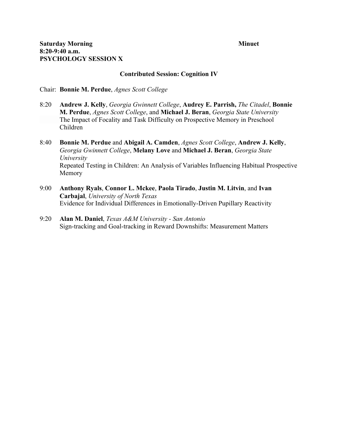### **Contributed Session: Cognition IV**

### Chair: **Bonnie M. Perdue**, *Agnes Scott College*

- 8:20 **Andrew J. Kelly**, *Georgia Gwinnett College*, **Audrey E. Parrish,** *The Citadel*, **Bonnie M. Perdue**, *Agnes Scott College*, and **Michael J. Beran**, *Georgia State University* The Impact of Focality and Task Difficulty on Prospective Memory in Preschool Children
- 8:40 **Bonnie M. Perdue** and **Abigail A. Camden**, *Agnes Scott College*, **Andrew J. Kelly**, *Georgia Gwinnett College*, **Melany Love** and **Michael J. Beran**, *Georgia State University* Repeated Testing in Children: An Analysis of Variables Influencing Habitual Prospective Memory
- 9:00 **Anthony Ryals**, **Connor L. Mckee**, **Paola Tirado**, **Justin M. Litvin**, and **Ivan Carbajal**, *University of North Texas* Evidence for Individual Differences in Emotionally-Driven Pupillary Reactivity
- 9:20 **Alan M. Daniel**, *Texas A&M University - San Antonio* Sign-tracking and Goal-tracking in Reward Downshifts: Measurement Matters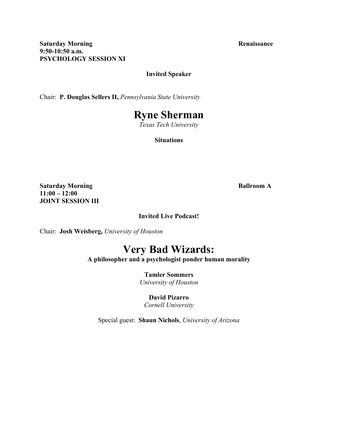### **Invited Speaker**

Chair: **P. Douglas Sellers II,** *Pennsylvania State University*

## **Ryne Sherman**

*Texas Tech University*

**Situations**

**Saturday Morning Ballroom A 11:00 – 12:00 JOINT SESSION III**

**Invited Live Podcast!**

Chair: **Josh Weisberg,** *University of Houston*

## **Very Bad Wizards:**

**A philosopher and a psychologist ponder human morality**

**Tamler Sommers** *University of Houston*

**David Pizarro** *Cornell University*

Special guest: **Shaun Nichols**, *University of Arizona*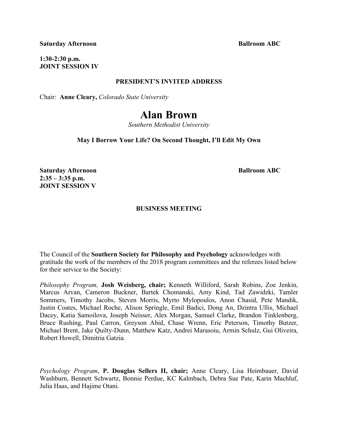**1:30-2:30 p.m. JOINT SESSION IV**

### **PRESIDENT'S INVITED ADDRESS**

Chair: **Anne Cleary,** *Colorado State University*

## **Alan Brown**

*Southern Methodist University*

**May I Borrow Your Life? On Second Thought, I'll Edit My Own**

**Saturday Afternoon 2:35 – 3:35 p.m. JOINT SESSION V**

### **BUSINESS MEETING**

The Council of the **Southern Society for Philosophy and Psychology** acknowledges with gratitude the work of the members of the 2018 program committees and the referees listed below for their service to the Society:

*Philosophy Program,* **Josh Weisberg, chair;** Kenneth Williford, Sarah Robins, Zoe Jenkin, Marcus Arvan, Cameron Buckner, Bartek Chomanski, Amy Kind, Tad Zawidzki, Tamler Sommers, Timothy Jacobs, Steven Morris, Myrto Mylopoulos, Anon Chasid, Pete Mandik, Justin Coates, Michael Roche, Alison Springle, Emil Badici, Dong An, Dzintra Ullis, Michael Dacey, Katia Samoilova, Joseph Neisser, Alex Morgan, Samuel Clarke, Brandon Tinklenberg, Bruce Rushing, Paul Carron, Greyson Abid, Chase Wrenn, Eric Peterson, Timothy Butzer, Michael Brent, Jake Quilty-Dunn, Matthew Katz, Andrei Marasoiu, Armin Schulz, Gui Oliveira, Robert Howell, Dimitria Gatzia.

*Psychology Program*, **P. Douglas Sellers II, chair;** Anne Cleary, Lisa Heimbauer, David Washburn, Bennett Schwartz, Bonnie Perdue, KC Kalmbach, Debra Sue Pate, Karin Machluf, Julia Haas, and Hajime Otani.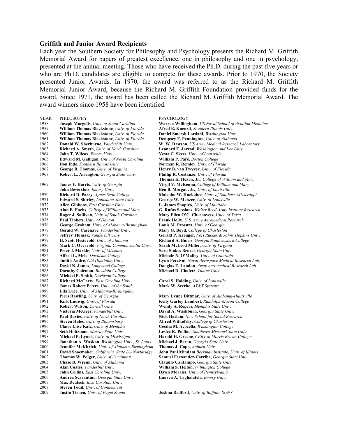### **Griffith and Junior Award Recipients**

Each year the Southern Society for Philosophy and Psychology presents the Richard M. Griffith Memorial Award for papers of greatest excellence, one in philosophy and one in psychology, presented at the annual meeting. Those who have received the Ph.D. during the past five years or who are Ph.D. candidates are eligible to compete for these awards. Prior to 1970, the Society presented Junior Awards. In 1970, the award was referred to as the Richard M. Griffith Memorial Junior Award, because the Richard M. Griffith Foundation provided funds for the award. Since 1971, the award has been called the Richard M. Griffith Memorial Award. The award winners since 1958 have been identified.

| <b>YEAR</b>  | PHILOSOPHY                                                             | PSYCHOLOGY                                                                        |
|--------------|------------------------------------------------------------------------|-----------------------------------------------------------------------------------|
| 1958         | Joseph Margolis, Univ. of South Carolina                               | Warren Willingham, US Naval School of Aviation Medicine                           |
| 1959         | William Thomas Blackstone, Univ. of Florida                            | Afred E. Kuenzli, Southern Illinois Univ.                                         |
| 1960         | William Thomas Blackstone, Univ. of Florida                            | Daniel Smersh Lordahl, Washington Univ.                                           |
| 1961         | William Thomas Blackstone, Univ. of Florida                            | Dempsey F. Pennington, Univ. of Alabama                                           |
| 1962         | Donald W. Sherburne, Vanderbilt Univ.                                  | W. W. Dawson, US Army Medical Research Laboratory                                 |
| 1963         | <b>Richard A. Smyth</b> , Univ. of North Carolina                      | <b>Leonard E. Jarrad</b> , Washington and Lee Univ.                               |
| 1964         | <b>John T. Wilcox</b> , <i>Emory Univ.</i>                             | <b>Vesta C. Skees</b> , Univ. of Louisville                                       |
| 1965         | Edward M. Galligan, Univ. of North Carolina                            | William P. Paré, Boston College                                                   |
| 1966         | Don Ihde, Southern Illinois Univ.                                      | Norman R. Remley, Univ. of Florida                                                |
| 1967         | George B. Thomas, Univ. of Virginia                                    | Henry B. van Twyver, Univ. of Florida                                             |
| 1968         | Robert L. Arrington, Georgia State Univ.                               | Phillip R. Costanzo, Univ. of Florida                                             |
|              |                                                                        | <b>Thomas K. Hearn, Jr., College of William and Mary</b>                          |
| 1969         | <b>James F. Harris</b> , Univ. of Georgia                              | Virgil V. McKenna, College of William and Mary                                    |
|              | John Beversluis, Emory Univ.                                           | <b>Ben B. Morgan, Jr.</b> , Univ. of Louisville                                   |
| 1970         | Richard D. Parry, Agnes Scott College                                  | Malcolm W. Huckabee, Univ. of Southern Mississippi                                |
| 1971         | Edward S. Shirley, Louisiana State Univ.                               | George W. Menzer, Univ. of Louisville                                             |
| 1972         | Allen Gibbons, East Carolina Univ.                                     | L. James Shapiro, Univ. of Manitoba                                               |
| 1973         | Alan E. Fuchs, College of William and Mary                             | G. Rufus Sessions, Walter Reed Army Institute Research                            |
| 1974         | Roger J. Sullivan, Univ. of South Carolina                             | Mary Ellen O'C. Chernovetz, Univ. of Tulsa                                        |
| 1975         | Paul Tibbets, Univ. of Dayton                                          | Frank Holly, U.S. Army Aeromedical Research                                       |
| 1976         | George Graham, Univ. of Alabama-Birmingham                             | Louis M. Proenza, Univ. of Georgia                                                |
| 1977         | Gerald W. Casenave, Vanderbilt Univ.                                   | <b>Mary G. Boyd</b> , College of Charleston                                       |
| 1978         | <b>Jeffrey Tlumak</b> , <i>Vanderbilt Univ.</i>                        | Gerald P. Kreuger, Fort Rucker & Johns Hopkins Univ.                              |
| 1979<br>1980 | H. Scott Hestevold, Univ. of Alabama                                   | Richard A. Burns, Georgia Southwestern College                                    |
| 1981         | Mark C. Overvold, Virginia Commonwealth Univ.                          | Sarah McLeod Miller, Univ. of Virginia<br>Sara Stokes Benzel, Georgia State Univ. |
| 1982         | Peter J. Markie, Univ. of Missouri<br>Alfred L. Mele, Davidson College | Michale N. O'Malley, Univ. of Colorado                                            |
| 1983         | Judith Andre, Old Dominion Univ.                                       | Lynn Percival, Naval Aerospace Medical Research Lab.                              |
| 1984         | David N. James, Longwood College                                       | Douglas E. Landon, Army Aeromedical Research Lab.                                 |
| 1985         | Dorothy Coleman, Bowdoin College                                       | Michael D. Chafetz, Tulane Univ.                                                  |
| 1986         | Michael P. Smith, Davidson College                                     |                                                                                   |
| 1987         | Richard McCarty, East Carolina Univ.                                   | Carol S. Holding, Univ. of Louisville                                             |
| 1988         | <b>James Robert Peters</b> , Univ. of the South                        | Mark W. Scerbo, AT&T Systems                                                      |
| 1989         | Lila Luce, Univ. of Alabama-Birmingham                                 |                                                                                   |
| 1990         | Piers Rawling, Univ. of Georgia                                        | Mary Lynne Dittmar, Univ. of Alabama-Huntsville                                   |
| 1991         | Kirk Ludwig, Univ. of Florida                                          | Kelly Gurley Lambert, Randolph-Macon College                                      |
| 1992         | <b>Robert Wilson, Cornell Univ.</b>                                    | <b>Wendy A. Rogers, Memphis State Univ.</b>                                       |
| 1993         | Victoria McGeer, Vanderbilt Univ.                                      | David A. Washburn, Georgia State Univ.                                            |
| 1994         | <b>Paul Davies</b> , Univ. of North Carolina                           | Nick Haslam, New School for Social Research                                       |
| 1995         | Steven Hales, Univ. of Bloomsburg                                      | Alfred Witkofsky, College of Charleston                                           |
| 1996         | Claire Elise Katz, Univ. of Memphis                                    | Cecilia M. Acocella, Washington College                                           |
| 1997         | Seth Holtzman, Murray State Univ.                                      | Leslee K. Pollina, Southeast Missouri State Univ.                                 |
| 1998         | Michael P. Lynch, Univ. of Mississippi                                 | Harold H. Greene, CERT at Morris Brown College                                    |
| 1999         | Jonathan A. Waskan, Washington Univ., St. Louis                        | Michael J. Beran, Georgia State Univ.                                             |
| 2000         | Jennifer McKitrick, Univ. of Alabama-Birmingham                        | Thomas J. Capo, Auburn Univ.                                                      |
| 2001         | David Shoemaker, California State U.- Northridge                       | John Paul Mindam Beckman Institute, Univ. of Illinois                             |
| 2002         | Thomas W. Polger, Univ. of Cincinnati                                  | Samuel Fernandez-Carriba, Georgia State Univ.                                     |
| 2003         | Chase B. Wrenn, Univ. of Alabama                                       | Claudio Cantalupo, Georgia State Univ.                                            |
| 2004         | Alan Coates, Vanderbilt Univ.                                          | William S. Helton, Wilmington College                                             |
| 2005         | John Collins, East Carolina Univ.                                      | Dawn Morales, Univ. of Pennsylvania                                               |
| 2006         | Andrea Scarantino, Georgia State Univ.                                 | Lauren A. Taglialatela, <i>Emory Univ.</i>                                        |
| 2007         | <b>Max Deutsch</b> , East Carolina Univ.                               |                                                                                   |
| 2008         | <b>Steven Todd, Univ. of Connecticut</b>                               |                                                                                   |
| 2009         | Justin Tiehen, Univ. of Puget Sound                                    | <b>Joshua Redford</b> , <i>Univ. of Buffalo, SUNY</i>                             |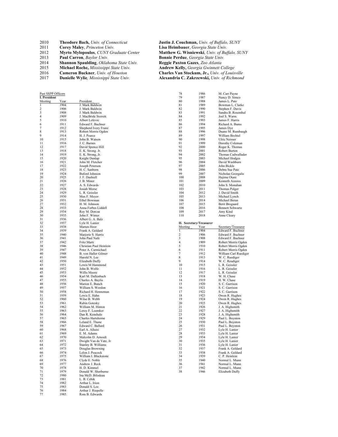- 2010 **Corey Maley**, *Princeton Univ.*<br>
2011 **Corey Maley**, *Princeton Univ.*<br>
2012 **Myrto Mylopoulos**, *CUNY Graduate Center*
- 
- 
- 
- 
- 
- 

 **Theodore Bach,** *Univ. of Connecticut* **Justin J. Couchman,** *Univ. of Buffalo, SUNY* **Myrto Mylopoulos**, *CUNY Graduate Center* **Matthew G. Wisniewski**, *Univ. of Buffalo, SUNY* **Paul Carron**, *Baylor Univ.* **Bonnie Perdue**, *Georgia State Univ.* **Shannon Spaulding**, *Oklahoma State Univ.* **Reggie Paxton Gazes**, *Zoo Atlanta* **Michael Roche,** *Mississippi State Univ.* **Andrew Kelly,** *Georgia Gwinnett College* **Cameron Buckner**, *Univ. of Houston* **Charles Van Stockum, Jr.,** *Univ. of Louisville* **Danielle Wylie***, Mississippi State Univ.* **Alexandria C. Zakrzewski,** *Univ. of Richmond*

| Year<br>President<br>Meeting<br>1904<br>J. Mark Baldwin<br>1<br>2<br>1906<br>J. Mark Baldwin<br>3<br>1908<br>J. Mark Baldwin<br>4<br>1909<br>J. MacBride Sterrett<br>5<br>1910<br>Albert Lefevre<br>6<br>1911<br>Edward F. Buchner<br>7<br>1912<br>Shepherd Ivory Franz<br>8<br>1913<br>Robert Morris Ogden<br>9<br>1914<br>H. J. Pearce<br>10<br>1915<br>John B. Watson<br>11<br>J. C. Barnes<br>1916<br>12<br>1917<br>David Spence Hill<br>13<br>1918<br>E. K. Strong. Jr.<br>1919<br>E. K. Strong, Jr.<br>14<br>15<br>1920<br>Knight Dunlap<br>16<br>1921<br>John M. Fletcher<br>17<br>1922<br>Joseph Peterson<br>18<br>H. C. Sanborn<br>1923<br>19<br>1924<br><b>Buford Johnson</b><br>20<br>1925<br>J. F. Dashiell<br>1926<br>J. B. Miner<br>21<br>1927<br>A. S. Edwards<br>22<br>1928<br>23<br>Josiah Morse<br>24<br>1929<br>L. R. Geissler<br>Max F. Meyer<br>25<br>1930<br>26<br>1931<br>Ethel Bowman<br>27<br>1932<br>H. M. Johnson<br>Anna Forbes Liddell<br>28<br>1933<br>29<br>1934<br>Roy M. Dorcus<br>30<br>1935<br>John F. Winter<br>31<br>Albert G. A. Balz<br>1936<br>32<br>1937<br>Lyle H. Lanier<br>33<br>1938<br>Marten Hoor<br>34<br>1939<br>Frank A. Geldard<br>35<br>Marjorie S. Harris<br>1940<br>36<br>1941<br>John Paul Nafe<br>37<br>1942<br>Fritz Marti<br>Christian Paul Heinlein<br>38<br>1946<br>39<br>1947<br>Peter A. Carmichael<br>40<br>1948<br>B. von Haller Gilmer<br>Harold N. Lee<br>41<br>1949<br>42<br>1950<br>Elizabeth Duffy<br>43<br>1951<br>Lewis M Hammond<br>44<br>1952<br>John B. Wolfe<br>45<br>1953<br>Willis Moore<br>46<br>1954<br>Karl M. Dallenbach<br>47<br>1955<br>Charles A. Baylis<br>1956<br>Marion E. Bunch<br>48<br>William S. Weedon<br>49<br>1957<br>50<br>1958<br>Richard H. Henneman<br>51<br>1959<br>Lewis E. Hahn<br>Wilse B. Webb<br>52<br>1960<br>53<br>1961<br>Rubin Gotesky<br>54<br>1962<br>William M. Hinton<br>55<br>1963<br>Leroy F. Loemker<br>56<br>1964<br>Dan R. Kenshalo<br>57<br>1965<br>Charles Hartshorne<br>58<br>Leland E. Thune<br>1966<br>Edward C. Ballard<br>59<br>1967<br>60<br>1968<br>Earl A. Alluisi<br>1969<br>E. M. Adams<br>61<br>62<br>1970<br>Malcolm D. Arnoult<br>Dwight Van de Vate, Jr<br>1971<br>63<br>1972<br>64<br>Stanley B. Williams<br>65<br>1973<br>Douglas Browning<br>1974<br>Lelon J. Peacock<br>66<br>67<br>1975<br>William I. Blackstone<br>Clyde E. Noble<br>68<br>1976<br>69<br>Andrew J. Reck<br>1977<br>70<br>1978<br>H. D. Kimmel<br>71<br>1979<br>Donald W. Sherburne<br>Ina McD. Bilodeau<br>72<br>1980<br>73<br>L. B. Cebik<br>1981<br>74<br>Arthur L. Irion<br>1982<br>Donald S. Lee<br>75<br>1983<br>76<br>1984<br>Arthur J. Riopelle<br>77<br>Rem B. Edwards<br>1985 | Past SSPP Officers |  |  |
|---------------------------------------------------------------------------------------------------------------------------------------------------------------------------------------------------------------------------------------------------------------------------------------------------------------------------------------------------------------------------------------------------------------------------------------------------------------------------------------------------------------------------------------------------------------------------------------------------------------------------------------------------------------------------------------------------------------------------------------------------------------------------------------------------------------------------------------------------------------------------------------------------------------------------------------------------------------------------------------------------------------------------------------------------------------------------------------------------------------------------------------------------------------------------------------------------------------------------------------------------------------------------------------------------------------------------------------------------------------------------------------------------------------------------------------------------------------------------------------------------------------------------------------------------------------------------------------------------------------------------------------------------------------------------------------------------------------------------------------------------------------------------------------------------------------------------------------------------------------------------------------------------------------------------------------------------------------------------------------------------------------------------------------------------------------------------------------------------------------------------------------------------------------------------------------------------------------------------------------------------------------------------------------------------------------------------------------------------------------------------------------------------------------------------------------------------------------------------------------------------------------------------------------------------------------------------------------------------------------------------------------------------------------------------------------------------|--------------------|--|--|
|                                                                                                                                                                                                                                                                                                                                                                                                                                                                                                                                                                                                                                                                                                                                                                                                                                                                                                                                                                                                                                                                                                                                                                                                                                                                                                                                                                                                                                                                                                                                                                                                                                                                                                                                                                                                                                                                                                                                                                                                                                                                                                                                                                                                                                                                                                                                                                                                                                                                                                                                                                                                                                                                                                   | I. President       |  |  |
|                                                                                                                                                                                                                                                                                                                                                                                                                                                                                                                                                                                                                                                                                                                                                                                                                                                                                                                                                                                                                                                                                                                                                                                                                                                                                                                                                                                                                                                                                                                                                                                                                                                                                                                                                                                                                                                                                                                                                                                                                                                                                                                                                                                                                                                                                                                                                                                                                                                                                                                                                                                                                                                                                                   |                    |  |  |
|                                                                                                                                                                                                                                                                                                                                                                                                                                                                                                                                                                                                                                                                                                                                                                                                                                                                                                                                                                                                                                                                                                                                                                                                                                                                                                                                                                                                                                                                                                                                                                                                                                                                                                                                                                                                                                                                                                                                                                                                                                                                                                                                                                                                                                                                                                                                                                                                                                                                                                                                                                                                                                                                                                   |                    |  |  |
|                                                                                                                                                                                                                                                                                                                                                                                                                                                                                                                                                                                                                                                                                                                                                                                                                                                                                                                                                                                                                                                                                                                                                                                                                                                                                                                                                                                                                                                                                                                                                                                                                                                                                                                                                                                                                                                                                                                                                                                                                                                                                                                                                                                                                                                                                                                                                                                                                                                                                                                                                                                                                                                                                                   |                    |  |  |
|                                                                                                                                                                                                                                                                                                                                                                                                                                                                                                                                                                                                                                                                                                                                                                                                                                                                                                                                                                                                                                                                                                                                                                                                                                                                                                                                                                                                                                                                                                                                                                                                                                                                                                                                                                                                                                                                                                                                                                                                                                                                                                                                                                                                                                                                                                                                                                                                                                                                                                                                                                                                                                                                                                   |                    |  |  |
|                                                                                                                                                                                                                                                                                                                                                                                                                                                                                                                                                                                                                                                                                                                                                                                                                                                                                                                                                                                                                                                                                                                                                                                                                                                                                                                                                                                                                                                                                                                                                                                                                                                                                                                                                                                                                                                                                                                                                                                                                                                                                                                                                                                                                                                                                                                                                                                                                                                                                                                                                                                                                                                                                                   |                    |  |  |
|                                                                                                                                                                                                                                                                                                                                                                                                                                                                                                                                                                                                                                                                                                                                                                                                                                                                                                                                                                                                                                                                                                                                                                                                                                                                                                                                                                                                                                                                                                                                                                                                                                                                                                                                                                                                                                                                                                                                                                                                                                                                                                                                                                                                                                                                                                                                                                                                                                                                                                                                                                                                                                                                                                   |                    |  |  |
|                                                                                                                                                                                                                                                                                                                                                                                                                                                                                                                                                                                                                                                                                                                                                                                                                                                                                                                                                                                                                                                                                                                                                                                                                                                                                                                                                                                                                                                                                                                                                                                                                                                                                                                                                                                                                                                                                                                                                                                                                                                                                                                                                                                                                                                                                                                                                                                                                                                                                                                                                                                                                                                                                                   |                    |  |  |
|                                                                                                                                                                                                                                                                                                                                                                                                                                                                                                                                                                                                                                                                                                                                                                                                                                                                                                                                                                                                                                                                                                                                                                                                                                                                                                                                                                                                                                                                                                                                                                                                                                                                                                                                                                                                                                                                                                                                                                                                                                                                                                                                                                                                                                                                                                                                                                                                                                                                                                                                                                                                                                                                                                   |                    |  |  |
|                                                                                                                                                                                                                                                                                                                                                                                                                                                                                                                                                                                                                                                                                                                                                                                                                                                                                                                                                                                                                                                                                                                                                                                                                                                                                                                                                                                                                                                                                                                                                                                                                                                                                                                                                                                                                                                                                                                                                                                                                                                                                                                                                                                                                                                                                                                                                                                                                                                                                                                                                                                                                                                                                                   |                    |  |  |
|                                                                                                                                                                                                                                                                                                                                                                                                                                                                                                                                                                                                                                                                                                                                                                                                                                                                                                                                                                                                                                                                                                                                                                                                                                                                                                                                                                                                                                                                                                                                                                                                                                                                                                                                                                                                                                                                                                                                                                                                                                                                                                                                                                                                                                                                                                                                                                                                                                                                                                                                                                                                                                                                                                   |                    |  |  |
|                                                                                                                                                                                                                                                                                                                                                                                                                                                                                                                                                                                                                                                                                                                                                                                                                                                                                                                                                                                                                                                                                                                                                                                                                                                                                                                                                                                                                                                                                                                                                                                                                                                                                                                                                                                                                                                                                                                                                                                                                                                                                                                                                                                                                                                                                                                                                                                                                                                                                                                                                                                                                                                                                                   |                    |  |  |
|                                                                                                                                                                                                                                                                                                                                                                                                                                                                                                                                                                                                                                                                                                                                                                                                                                                                                                                                                                                                                                                                                                                                                                                                                                                                                                                                                                                                                                                                                                                                                                                                                                                                                                                                                                                                                                                                                                                                                                                                                                                                                                                                                                                                                                                                                                                                                                                                                                                                                                                                                                                                                                                                                                   |                    |  |  |
|                                                                                                                                                                                                                                                                                                                                                                                                                                                                                                                                                                                                                                                                                                                                                                                                                                                                                                                                                                                                                                                                                                                                                                                                                                                                                                                                                                                                                                                                                                                                                                                                                                                                                                                                                                                                                                                                                                                                                                                                                                                                                                                                                                                                                                                                                                                                                                                                                                                                                                                                                                                                                                                                                                   |                    |  |  |
|                                                                                                                                                                                                                                                                                                                                                                                                                                                                                                                                                                                                                                                                                                                                                                                                                                                                                                                                                                                                                                                                                                                                                                                                                                                                                                                                                                                                                                                                                                                                                                                                                                                                                                                                                                                                                                                                                                                                                                                                                                                                                                                                                                                                                                                                                                                                                                                                                                                                                                                                                                                                                                                                                                   |                    |  |  |
|                                                                                                                                                                                                                                                                                                                                                                                                                                                                                                                                                                                                                                                                                                                                                                                                                                                                                                                                                                                                                                                                                                                                                                                                                                                                                                                                                                                                                                                                                                                                                                                                                                                                                                                                                                                                                                                                                                                                                                                                                                                                                                                                                                                                                                                                                                                                                                                                                                                                                                                                                                                                                                                                                                   |                    |  |  |
|                                                                                                                                                                                                                                                                                                                                                                                                                                                                                                                                                                                                                                                                                                                                                                                                                                                                                                                                                                                                                                                                                                                                                                                                                                                                                                                                                                                                                                                                                                                                                                                                                                                                                                                                                                                                                                                                                                                                                                                                                                                                                                                                                                                                                                                                                                                                                                                                                                                                                                                                                                                                                                                                                                   |                    |  |  |
|                                                                                                                                                                                                                                                                                                                                                                                                                                                                                                                                                                                                                                                                                                                                                                                                                                                                                                                                                                                                                                                                                                                                                                                                                                                                                                                                                                                                                                                                                                                                                                                                                                                                                                                                                                                                                                                                                                                                                                                                                                                                                                                                                                                                                                                                                                                                                                                                                                                                                                                                                                                                                                                                                                   |                    |  |  |
|                                                                                                                                                                                                                                                                                                                                                                                                                                                                                                                                                                                                                                                                                                                                                                                                                                                                                                                                                                                                                                                                                                                                                                                                                                                                                                                                                                                                                                                                                                                                                                                                                                                                                                                                                                                                                                                                                                                                                                                                                                                                                                                                                                                                                                                                                                                                                                                                                                                                                                                                                                                                                                                                                                   |                    |  |  |
|                                                                                                                                                                                                                                                                                                                                                                                                                                                                                                                                                                                                                                                                                                                                                                                                                                                                                                                                                                                                                                                                                                                                                                                                                                                                                                                                                                                                                                                                                                                                                                                                                                                                                                                                                                                                                                                                                                                                                                                                                                                                                                                                                                                                                                                                                                                                                                                                                                                                                                                                                                                                                                                                                                   |                    |  |  |
|                                                                                                                                                                                                                                                                                                                                                                                                                                                                                                                                                                                                                                                                                                                                                                                                                                                                                                                                                                                                                                                                                                                                                                                                                                                                                                                                                                                                                                                                                                                                                                                                                                                                                                                                                                                                                                                                                                                                                                                                                                                                                                                                                                                                                                                                                                                                                                                                                                                                                                                                                                                                                                                                                                   |                    |  |  |
|                                                                                                                                                                                                                                                                                                                                                                                                                                                                                                                                                                                                                                                                                                                                                                                                                                                                                                                                                                                                                                                                                                                                                                                                                                                                                                                                                                                                                                                                                                                                                                                                                                                                                                                                                                                                                                                                                                                                                                                                                                                                                                                                                                                                                                                                                                                                                                                                                                                                                                                                                                                                                                                                                                   |                    |  |  |
|                                                                                                                                                                                                                                                                                                                                                                                                                                                                                                                                                                                                                                                                                                                                                                                                                                                                                                                                                                                                                                                                                                                                                                                                                                                                                                                                                                                                                                                                                                                                                                                                                                                                                                                                                                                                                                                                                                                                                                                                                                                                                                                                                                                                                                                                                                                                                                                                                                                                                                                                                                                                                                                                                                   |                    |  |  |
|                                                                                                                                                                                                                                                                                                                                                                                                                                                                                                                                                                                                                                                                                                                                                                                                                                                                                                                                                                                                                                                                                                                                                                                                                                                                                                                                                                                                                                                                                                                                                                                                                                                                                                                                                                                                                                                                                                                                                                                                                                                                                                                                                                                                                                                                                                                                                                                                                                                                                                                                                                                                                                                                                                   |                    |  |  |
|                                                                                                                                                                                                                                                                                                                                                                                                                                                                                                                                                                                                                                                                                                                                                                                                                                                                                                                                                                                                                                                                                                                                                                                                                                                                                                                                                                                                                                                                                                                                                                                                                                                                                                                                                                                                                                                                                                                                                                                                                                                                                                                                                                                                                                                                                                                                                                                                                                                                                                                                                                                                                                                                                                   |                    |  |  |
|                                                                                                                                                                                                                                                                                                                                                                                                                                                                                                                                                                                                                                                                                                                                                                                                                                                                                                                                                                                                                                                                                                                                                                                                                                                                                                                                                                                                                                                                                                                                                                                                                                                                                                                                                                                                                                                                                                                                                                                                                                                                                                                                                                                                                                                                                                                                                                                                                                                                                                                                                                                                                                                                                                   |                    |  |  |
|                                                                                                                                                                                                                                                                                                                                                                                                                                                                                                                                                                                                                                                                                                                                                                                                                                                                                                                                                                                                                                                                                                                                                                                                                                                                                                                                                                                                                                                                                                                                                                                                                                                                                                                                                                                                                                                                                                                                                                                                                                                                                                                                                                                                                                                                                                                                                                                                                                                                                                                                                                                                                                                                                                   |                    |  |  |
|                                                                                                                                                                                                                                                                                                                                                                                                                                                                                                                                                                                                                                                                                                                                                                                                                                                                                                                                                                                                                                                                                                                                                                                                                                                                                                                                                                                                                                                                                                                                                                                                                                                                                                                                                                                                                                                                                                                                                                                                                                                                                                                                                                                                                                                                                                                                                                                                                                                                                                                                                                                                                                                                                                   |                    |  |  |
|                                                                                                                                                                                                                                                                                                                                                                                                                                                                                                                                                                                                                                                                                                                                                                                                                                                                                                                                                                                                                                                                                                                                                                                                                                                                                                                                                                                                                                                                                                                                                                                                                                                                                                                                                                                                                                                                                                                                                                                                                                                                                                                                                                                                                                                                                                                                                                                                                                                                                                                                                                                                                                                                                                   |                    |  |  |
|                                                                                                                                                                                                                                                                                                                                                                                                                                                                                                                                                                                                                                                                                                                                                                                                                                                                                                                                                                                                                                                                                                                                                                                                                                                                                                                                                                                                                                                                                                                                                                                                                                                                                                                                                                                                                                                                                                                                                                                                                                                                                                                                                                                                                                                                                                                                                                                                                                                                                                                                                                                                                                                                                                   |                    |  |  |
|                                                                                                                                                                                                                                                                                                                                                                                                                                                                                                                                                                                                                                                                                                                                                                                                                                                                                                                                                                                                                                                                                                                                                                                                                                                                                                                                                                                                                                                                                                                                                                                                                                                                                                                                                                                                                                                                                                                                                                                                                                                                                                                                                                                                                                                                                                                                                                                                                                                                                                                                                                                                                                                                                                   |                    |  |  |
|                                                                                                                                                                                                                                                                                                                                                                                                                                                                                                                                                                                                                                                                                                                                                                                                                                                                                                                                                                                                                                                                                                                                                                                                                                                                                                                                                                                                                                                                                                                                                                                                                                                                                                                                                                                                                                                                                                                                                                                                                                                                                                                                                                                                                                                                                                                                                                                                                                                                                                                                                                                                                                                                                                   |                    |  |  |
|                                                                                                                                                                                                                                                                                                                                                                                                                                                                                                                                                                                                                                                                                                                                                                                                                                                                                                                                                                                                                                                                                                                                                                                                                                                                                                                                                                                                                                                                                                                                                                                                                                                                                                                                                                                                                                                                                                                                                                                                                                                                                                                                                                                                                                                                                                                                                                                                                                                                                                                                                                                                                                                                                                   |                    |  |  |
|                                                                                                                                                                                                                                                                                                                                                                                                                                                                                                                                                                                                                                                                                                                                                                                                                                                                                                                                                                                                                                                                                                                                                                                                                                                                                                                                                                                                                                                                                                                                                                                                                                                                                                                                                                                                                                                                                                                                                                                                                                                                                                                                                                                                                                                                                                                                                                                                                                                                                                                                                                                                                                                                                                   |                    |  |  |
|                                                                                                                                                                                                                                                                                                                                                                                                                                                                                                                                                                                                                                                                                                                                                                                                                                                                                                                                                                                                                                                                                                                                                                                                                                                                                                                                                                                                                                                                                                                                                                                                                                                                                                                                                                                                                                                                                                                                                                                                                                                                                                                                                                                                                                                                                                                                                                                                                                                                                                                                                                                                                                                                                                   |                    |  |  |
|                                                                                                                                                                                                                                                                                                                                                                                                                                                                                                                                                                                                                                                                                                                                                                                                                                                                                                                                                                                                                                                                                                                                                                                                                                                                                                                                                                                                                                                                                                                                                                                                                                                                                                                                                                                                                                                                                                                                                                                                                                                                                                                                                                                                                                                                                                                                                                                                                                                                                                                                                                                                                                                                                                   |                    |  |  |
|                                                                                                                                                                                                                                                                                                                                                                                                                                                                                                                                                                                                                                                                                                                                                                                                                                                                                                                                                                                                                                                                                                                                                                                                                                                                                                                                                                                                                                                                                                                                                                                                                                                                                                                                                                                                                                                                                                                                                                                                                                                                                                                                                                                                                                                                                                                                                                                                                                                                                                                                                                                                                                                                                                   |                    |  |  |
|                                                                                                                                                                                                                                                                                                                                                                                                                                                                                                                                                                                                                                                                                                                                                                                                                                                                                                                                                                                                                                                                                                                                                                                                                                                                                                                                                                                                                                                                                                                                                                                                                                                                                                                                                                                                                                                                                                                                                                                                                                                                                                                                                                                                                                                                                                                                                                                                                                                                                                                                                                                                                                                                                                   |                    |  |  |
|                                                                                                                                                                                                                                                                                                                                                                                                                                                                                                                                                                                                                                                                                                                                                                                                                                                                                                                                                                                                                                                                                                                                                                                                                                                                                                                                                                                                                                                                                                                                                                                                                                                                                                                                                                                                                                                                                                                                                                                                                                                                                                                                                                                                                                                                                                                                                                                                                                                                                                                                                                                                                                                                                                   |                    |  |  |
|                                                                                                                                                                                                                                                                                                                                                                                                                                                                                                                                                                                                                                                                                                                                                                                                                                                                                                                                                                                                                                                                                                                                                                                                                                                                                                                                                                                                                                                                                                                                                                                                                                                                                                                                                                                                                                                                                                                                                                                                                                                                                                                                                                                                                                                                                                                                                                                                                                                                                                                                                                                                                                                                                                   |                    |  |  |
|                                                                                                                                                                                                                                                                                                                                                                                                                                                                                                                                                                                                                                                                                                                                                                                                                                                                                                                                                                                                                                                                                                                                                                                                                                                                                                                                                                                                                                                                                                                                                                                                                                                                                                                                                                                                                                                                                                                                                                                                                                                                                                                                                                                                                                                                                                                                                                                                                                                                                                                                                                                                                                                                                                   |                    |  |  |
|                                                                                                                                                                                                                                                                                                                                                                                                                                                                                                                                                                                                                                                                                                                                                                                                                                                                                                                                                                                                                                                                                                                                                                                                                                                                                                                                                                                                                                                                                                                                                                                                                                                                                                                                                                                                                                                                                                                                                                                                                                                                                                                                                                                                                                                                                                                                                                                                                                                                                                                                                                                                                                                                                                   |                    |  |  |
|                                                                                                                                                                                                                                                                                                                                                                                                                                                                                                                                                                                                                                                                                                                                                                                                                                                                                                                                                                                                                                                                                                                                                                                                                                                                                                                                                                                                                                                                                                                                                                                                                                                                                                                                                                                                                                                                                                                                                                                                                                                                                                                                                                                                                                                                                                                                                                                                                                                                                                                                                                                                                                                                                                   |                    |  |  |
|                                                                                                                                                                                                                                                                                                                                                                                                                                                                                                                                                                                                                                                                                                                                                                                                                                                                                                                                                                                                                                                                                                                                                                                                                                                                                                                                                                                                                                                                                                                                                                                                                                                                                                                                                                                                                                                                                                                                                                                                                                                                                                                                                                                                                                                                                                                                                                                                                                                                                                                                                                                                                                                                                                   |                    |  |  |
|                                                                                                                                                                                                                                                                                                                                                                                                                                                                                                                                                                                                                                                                                                                                                                                                                                                                                                                                                                                                                                                                                                                                                                                                                                                                                                                                                                                                                                                                                                                                                                                                                                                                                                                                                                                                                                                                                                                                                                                                                                                                                                                                                                                                                                                                                                                                                                                                                                                                                                                                                                                                                                                                                                   |                    |  |  |
|                                                                                                                                                                                                                                                                                                                                                                                                                                                                                                                                                                                                                                                                                                                                                                                                                                                                                                                                                                                                                                                                                                                                                                                                                                                                                                                                                                                                                                                                                                                                                                                                                                                                                                                                                                                                                                                                                                                                                                                                                                                                                                                                                                                                                                                                                                                                                                                                                                                                                                                                                                                                                                                                                                   |                    |  |  |
|                                                                                                                                                                                                                                                                                                                                                                                                                                                                                                                                                                                                                                                                                                                                                                                                                                                                                                                                                                                                                                                                                                                                                                                                                                                                                                                                                                                                                                                                                                                                                                                                                                                                                                                                                                                                                                                                                                                                                                                                                                                                                                                                                                                                                                                                                                                                                                                                                                                                                                                                                                                                                                                                                                   |                    |  |  |
|                                                                                                                                                                                                                                                                                                                                                                                                                                                                                                                                                                                                                                                                                                                                                                                                                                                                                                                                                                                                                                                                                                                                                                                                                                                                                                                                                                                                                                                                                                                                                                                                                                                                                                                                                                                                                                                                                                                                                                                                                                                                                                                                                                                                                                                                                                                                                                                                                                                                                                                                                                                                                                                                                                   |                    |  |  |
|                                                                                                                                                                                                                                                                                                                                                                                                                                                                                                                                                                                                                                                                                                                                                                                                                                                                                                                                                                                                                                                                                                                                                                                                                                                                                                                                                                                                                                                                                                                                                                                                                                                                                                                                                                                                                                                                                                                                                                                                                                                                                                                                                                                                                                                                                                                                                                                                                                                                                                                                                                                                                                                                                                   |                    |  |  |
|                                                                                                                                                                                                                                                                                                                                                                                                                                                                                                                                                                                                                                                                                                                                                                                                                                                                                                                                                                                                                                                                                                                                                                                                                                                                                                                                                                                                                                                                                                                                                                                                                                                                                                                                                                                                                                                                                                                                                                                                                                                                                                                                                                                                                                                                                                                                                                                                                                                                                                                                                                                                                                                                                                   |                    |  |  |
|                                                                                                                                                                                                                                                                                                                                                                                                                                                                                                                                                                                                                                                                                                                                                                                                                                                                                                                                                                                                                                                                                                                                                                                                                                                                                                                                                                                                                                                                                                                                                                                                                                                                                                                                                                                                                                                                                                                                                                                                                                                                                                                                                                                                                                                                                                                                                                                                                                                                                                                                                                                                                                                                                                   |                    |  |  |
|                                                                                                                                                                                                                                                                                                                                                                                                                                                                                                                                                                                                                                                                                                                                                                                                                                                                                                                                                                                                                                                                                                                                                                                                                                                                                                                                                                                                                                                                                                                                                                                                                                                                                                                                                                                                                                                                                                                                                                                                                                                                                                                                                                                                                                                                                                                                                                                                                                                                                                                                                                                                                                                                                                   |                    |  |  |
|                                                                                                                                                                                                                                                                                                                                                                                                                                                                                                                                                                                                                                                                                                                                                                                                                                                                                                                                                                                                                                                                                                                                                                                                                                                                                                                                                                                                                                                                                                                                                                                                                                                                                                                                                                                                                                                                                                                                                                                                                                                                                                                                                                                                                                                                                                                                                                                                                                                                                                                                                                                                                                                                                                   |                    |  |  |
|                                                                                                                                                                                                                                                                                                                                                                                                                                                                                                                                                                                                                                                                                                                                                                                                                                                                                                                                                                                                                                                                                                                                                                                                                                                                                                                                                                                                                                                                                                                                                                                                                                                                                                                                                                                                                                                                                                                                                                                                                                                                                                                                                                                                                                                                                                                                                                                                                                                                                                                                                                                                                                                                                                   |                    |  |  |
|                                                                                                                                                                                                                                                                                                                                                                                                                                                                                                                                                                                                                                                                                                                                                                                                                                                                                                                                                                                                                                                                                                                                                                                                                                                                                                                                                                                                                                                                                                                                                                                                                                                                                                                                                                                                                                                                                                                                                                                                                                                                                                                                                                                                                                                                                                                                                                                                                                                                                                                                                                                                                                                                                                   |                    |  |  |
|                                                                                                                                                                                                                                                                                                                                                                                                                                                                                                                                                                                                                                                                                                                                                                                                                                                                                                                                                                                                                                                                                                                                                                                                                                                                                                                                                                                                                                                                                                                                                                                                                                                                                                                                                                                                                                                                                                                                                                                                                                                                                                                                                                                                                                                                                                                                                                                                                                                                                                                                                                                                                                                                                                   |                    |  |  |
|                                                                                                                                                                                                                                                                                                                                                                                                                                                                                                                                                                                                                                                                                                                                                                                                                                                                                                                                                                                                                                                                                                                                                                                                                                                                                                                                                                                                                                                                                                                                                                                                                                                                                                                                                                                                                                                                                                                                                                                                                                                                                                                                                                                                                                                                                                                                                                                                                                                                                                                                                                                                                                                                                                   |                    |  |  |
|                                                                                                                                                                                                                                                                                                                                                                                                                                                                                                                                                                                                                                                                                                                                                                                                                                                                                                                                                                                                                                                                                                                                                                                                                                                                                                                                                                                                                                                                                                                                                                                                                                                                                                                                                                                                                                                                                                                                                                                                                                                                                                                                                                                                                                                                                                                                                                                                                                                                                                                                                                                                                                                                                                   |                    |  |  |
|                                                                                                                                                                                                                                                                                                                                                                                                                                                                                                                                                                                                                                                                                                                                                                                                                                                                                                                                                                                                                                                                                                                                                                                                                                                                                                                                                                                                                                                                                                                                                                                                                                                                                                                                                                                                                                                                                                                                                                                                                                                                                                                                                                                                                                                                                                                                                                                                                                                                                                                                                                                                                                                                                                   |                    |  |  |
|                                                                                                                                                                                                                                                                                                                                                                                                                                                                                                                                                                                                                                                                                                                                                                                                                                                                                                                                                                                                                                                                                                                                                                                                                                                                                                                                                                                                                                                                                                                                                                                                                                                                                                                                                                                                                                                                                                                                                                                                                                                                                                                                                                                                                                                                                                                                                                                                                                                                                                                                                                                                                                                                                                   |                    |  |  |
|                                                                                                                                                                                                                                                                                                                                                                                                                                                                                                                                                                                                                                                                                                                                                                                                                                                                                                                                                                                                                                                                                                                                                                                                                                                                                                                                                                                                                                                                                                                                                                                                                                                                                                                                                                                                                                                                                                                                                                                                                                                                                                                                                                                                                                                                                                                                                                                                                                                                                                                                                                                                                                                                                                   |                    |  |  |
|                                                                                                                                                                                                                                                                                                                                                                                                                                                                                                                                                                                                                                                                                                                                                                                                                                                                                                                                                                                                                                                                                                                                                                                                                                                                                                                                                                                                                                                                                                                                                                                                                                                                                                                                                                                                                                                                                                                                                                                                                                                                                                                                                                                                                                                                                                                                                                                                                                                                                                                                                                                                                                                                                                   |                    |  |  |
|                                                                                                                                                                                                                                                                                                                                                                                                                                                                                                                                                                                                                                                                                                                                                                                                                                                                                                                                                                                                                                                                                                                                                                                                                                                                                                                                                                                                                                                                                                                                                                                                                                                                                                                                                                                                                                                                                                                                                                                                                                                                                                                                                                                                                                                                                                                                                                                                                                                                                                                                                                                                                                                                                                   |                    |  |  |

| 78                      | 1986                                    | M. Carr Payne                                |
|-------------------------|-----------------------------------------|----------------------------------------------|
| 79                      | 1987                                    | Nancy D. Simco                               |
| 80                      | 1988                                    | James L. Pate                                |
| 81                      | 1989                                    | Bowman L. Clarke                             |
| 82                      | 1990                                    | Stephen F. Davis                             |
| 83                      | 1991                                    | Sandra B. Rosenthal                          |
| 84                      | 1992                                    | Joel S. Warm                                 |
| 85                      | 1993                                    | James F. Harris                              |
| 86                      | 1994                                    | Richard A. Bums                              |
| 87                      | 1995                                    | James Dye                                    |
| 88                      | 1996                                    | Duane M. Rumbaugh                            |
| 89                      | 1997                                    | William Bechtel                              |
| 90                      | 1998                                    | <b>Ulric Neisser</b>                         |
| 91                      | 1999                                    | Dorothy Coleman                              |
| 92<br>93                | 2000                                    | Roger K. Thomas                              |
| 94                      | 2001<br>2002                            | Robert Burton                                |
| 95                      | 2003                                    | Thomas Cadwallader<br>Michael Hodges         |
| 96                      | 2004                                    | David Washburn                               |
| 97                      | 2005                                    | John Bickle                                  |
| 98                      | 2006                                    | Debra Sue Pate                               |
| 99                      | 2007                                    | Nicholas Georgalis                           |
| 100                     | 2008                                    | Hajime Otani                                 |
| 101                     | 2009                                    | Kenneth Aizawa                               |
| 102                     | 2010                                    | John S. Monahan                              |
| 103                     | 2011                                    | Thomas Polger                                |
| 104                     | 2012                                    | J. David Smith                               |
| 105                     | 2013                                    | Michael Lynch                                |
| 106                     | 2014                                    | Michael Beran                                |
| 107                     | 2015                                    | <b>Berit Brogaard</b>                        |
| 108                     | 2016                                    | <b>Bennett Schwartz</b>                      |
| 109                     | 2017                                    | Amy Kind                                     |
| 110                     | 2018                                    | Anne Cleary                                  |
|                         |                                         |                                              |
|                         | II. Secretary/Treasurer<br>Meeting Year | Secretary/Treasurer                          |
|                         |                                         |                                              |
|                         |                                         |                                              |
| 1                       | 1904                                    | Edward F. Buchner                            |
| $\overline{\mathbf{c}}$ | 1906                                    | Edward F. Buchner                            |
| 3<br>$\overline{4}$     | 1908<br>1909                            | Edward F. Buchner                            |
| 5                       | 1910                                    | Robert Morris Ogden                          |
|                         |                                         | Robert Morris Ogden                          |
| 6<br>7                  | 1911<br>1912                            | Robert Morris Ogden<br>William Carl Ruediger |
| 8                       | 1913                                    | W. C. Ruediger                               |
| $\overline{Q}$          | 1914                                    | W. C. Reudiger                               |
| 10                      | 1915                                    | L. R. Geissler                               |
| 11                      | 1916                                    | L. R. Geissler                               |
| 12                      | 1917                                    | L. R. Geissler                               |
| 13                      | 1918                                    | W. H. Chase                                  |
| 14                      | 1919                                    | H. W. Chase                                  |
| 15                      | 1920                                    | S. C. Garrison                               |
| 16                      | 1921                                    | S. C. Garrison                               |
| 17                      | 1922                                    | S. C. Garrison                               |
| 18                      | 1923                                    | Owen R. Hughes                               |
| 19                      | 1924                                    | Owen R. Hughes                               |
| 20                      | 1925                                    | Owen R. Hughes                               |
| 21<br>22                | 1926<br>1927                            | J. A. Highsmith                              |
| 23                      | 1928                                    | J. A. Highsmith                              |
| 24                      | 1929                                    | J. A. Highsmith                              |
| 25                      | 1930                                    | Paul L. Boynton<br>Paul L. Boynton           |
| 26                      | 1931                                    | Paul L. Boynton                              |
| 27                      | 1932                                    | Lyle H. Lanier                               |
| 28                      | 1933                                    | Lyle H. Lanier                               |
| 29                      | 1934                                    | Lyle H. Lanier                               |
| 30                      | 1935                                    | Lyle H. Lanier                               |
| 31                      | 1936                                    | Lyle H. Lanier                               |
| 32                      | 1937                                    |                                              |
| 33                      | 1938                                    | Frank A. Geldard<br>Frank A. Geldard         |
| 34                      | 1939                                    | C. P. Heinlein                               |
| 35                      | 1940                                    |                                              |
| 36                      | 1941                                    | Normal L. Munn<br>Normal L. Munn             |
| 37<br>38                | 1942<br>1946                            | Normal L. Munn<br>Elizabeth Duffy            |